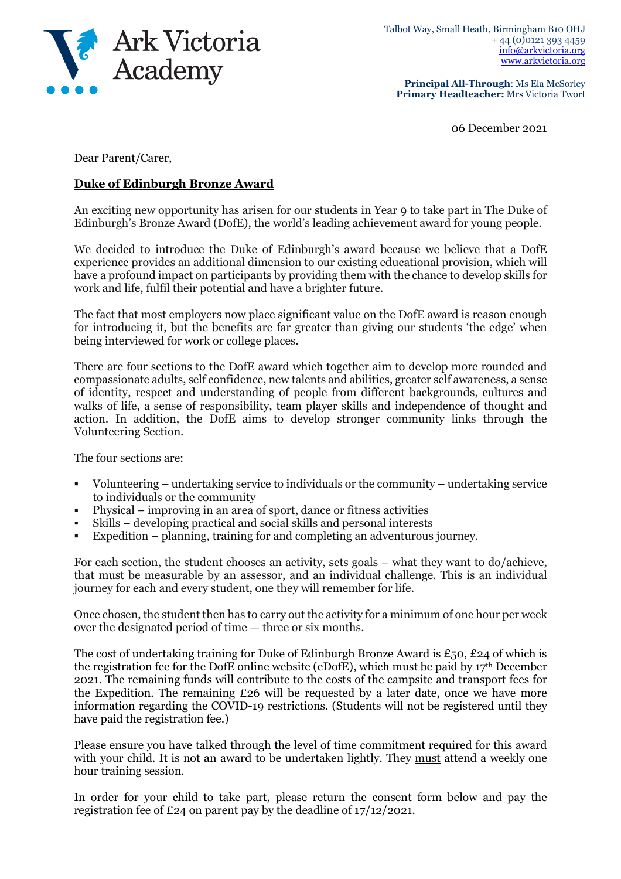

**Principal All-Through**: Ms Ela McSorley **Primary Headteacher:** Mrs Victoria Twort

06 December 2021

Dear Parent/Carer,

## **Duke of Edinburgh Bronze Award**

An exciting new opportunity has arisen for our students in Year 9 to take part in The Duke of Edinburgh's Bronze Award (DofE), the world's leading achievement award for young people.

We decided to introduce the Duke of Edinburgh's award because we believe that a DofE experience provides an additional dimension to our existing educational provision, which will have a profound impact on participants by providing them with the chance to develop skills for work and life, fulfil their potential and have a brighter future.

The fact that most employers now place significant value on the DofE award is reason enough for introducing it, but the benefits are far greater than giving our students 'the edge' when being interviewed for work or college places.

There are four sections to the DofE award which together aim to develop more rounded and compassionate adults, self confidence, new talents and abilities, greater self awareness, a sense of identity, respect and understanding of people from different backgrounds, cultures and walks of life, a sense of responsibility, team player skills and independence of thought and action. In addition, the DofE aims to develop stronger community links through the Volunteering Section.

The four sections are:

- Volunteering undertaking service to individuals or the community undertaking service to individuals or the community
- Physical improving in an area of sport, dance or fitness activities
- Skills developing practical and social skills and personal interests
- Expedition planning, training for and completing an adventurous journey.

For each section, the student chooses an activity, sets goals – what they want to do/achieve, that must be measurable by an assessor, and an individual challenge. This is an individual journey for each and every student, one they will remember for life.

Once chosen, the student then has to carry out the activity for a minimum of one hour per week over the designated period of time — three or six months.

The cost of undertaking training for Duke of Edinburgh Bronze Award is £50, £24 of which is the registration fee for the DofE online website (eDofE), which must be paid by 17th December 2021. The remaining funds will contribute to the costs of the campsite and transport fees for the Expedition. The remaining £26 will be requested by a later date, once we have more information regarding the COVID-19 restrictions. (Students will not be registered until they have paid the registration fee.)

Please ensure you have talked through the level of time commitment required for this award with your child. It is not an award to be undertaken lightly. They must attend a weekly one hour training session.

In order for your child to take part, please return the consent form below and pay the registration fee of £24 on parent pay by the deadline of 17/12/2021.